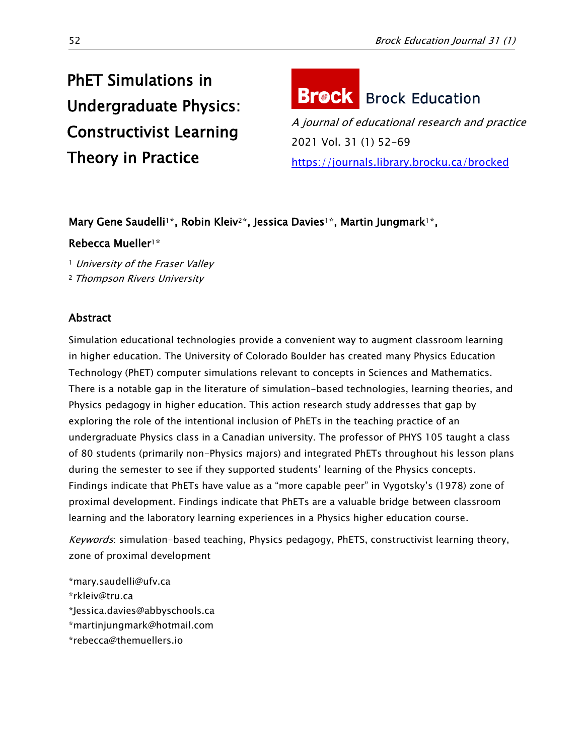# PhET Simulations in Undergraduate Physics: Constructivist Learning Theory in Practice

# **Brock** Brock Education

A journal of educational research and practice 2021 Vol. 31 (1) 52-69 <https://journals.library.brocku.ca/brocked>

# Mary Gene Saudelli<sup>1\*</sup>, Robin Kleiv<sup>2\*</sup>, Jessica Davies<sup>1\*</sup>, Martin Jungmark<sup>1\*</sup>,

# Rebecca Mueller1\*

<sup>1</sup> University of the Fraser Valley

<sup>2</sup> Thompson Rivers University

# Abstract

Simulation educational technologies provide a convenient way to augment classroom learning in higher education. The University of Colorado Boulder has created many Physics Education Technology (PhET) computer simulations relevant to concepts in Sciences and Mathematics. There is a notable gap in the literature of simulation-based technologies, learning theories, and Physics pedagogy in higher education. This action research study addresses that gap by exploring the role of the intentional inclusion of PhETs in the teaching practice of an undergraduate Physics class in a Canadian university. The professor of PHYS 105 taught a class of 80 students (primarily non-Physics majors) and integrated PhETs throughout his lesson plans during the semester to see if they supported students' learning of the Physics concepts. Findings indicate that PhETs have value as a "more capable peer" in Vygotsky's (1978) zone of proximal development. Findings indicate that PhETs are a valuable bridge between classroom learning and the laboratory learning experiences in a Physics higher education course.

Keywords: simulation-based teaching, Physics pedagogy, PhETS, constructivist learning theory, zone of proximal development

[\\*mary.saudelli@ufv.ca](mailto:mary.saudelli@ufv.ca) [\\*rkleiv@tru.ca](mailto:*rkleiv@tru.ca) \*Jessica.davies@abbyschools.ca [\\*martinjungmark@hotmail.com](mailto:martinjungmark@hotmail.com) [\\*rebecca@themuellers.io](mailto:*rebecca@themuellers.io)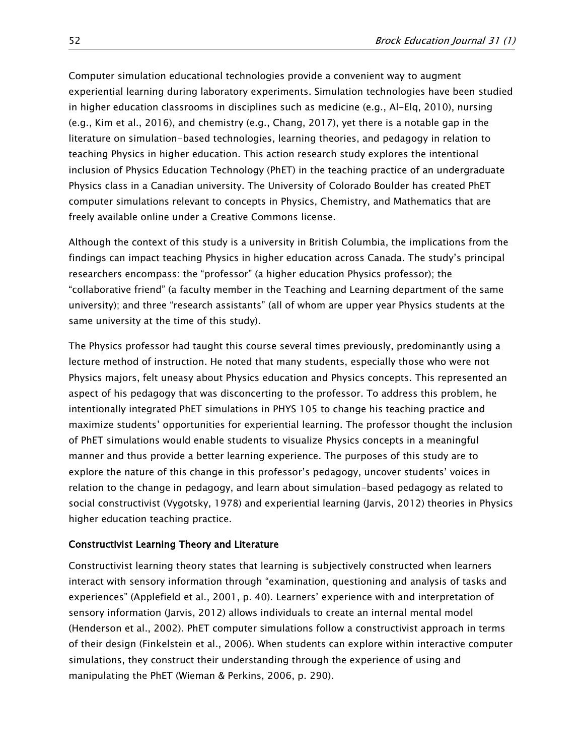Computer simulation educational technologies provide a convenient way to augment experiential learning during laboratory experiments. Simulation technologies have been studied in higher education classrooms in disciplines such as medicine (e.g., [Al-Elq,](https://www.ncbi.nlm.nih.gov/pubmed/?term=Al-Elq%20AH%5BAuthor%5D&cauthor=true&cauthor_uid=22022669) 2010), nursing (e.g., Kim et al., 2016), and chemistry (e.g., Chang, 2017), yet there is a notable gap in the literature on simulation-based technologies, learning theories, and pedagogy in relation to teaching Physics in higher education. This action research study explores the intentional inclusion of Physics Education Technology (PhET) in the teaching practice of an undergraduate Physics class in a Canadian university. The University of Colorado Boulder has created PhET computer simulations relevant to concepts in Physics, Chemistry, and Mathematics that are freely available online under a Creative Commons license.

Although the context of this study is a university in British Columbia, the implications from the findings can impact teaching Physics in higher education across Canada. The study's principal researchers encompass: the "professor" (a higher education Physics professor); the "collaborative friend" (a faculty member in the Teaching and Learning department of the same university); and three "research assistants" (all of whom are upper year Physics students at the same university at the time of this study).

The Physics professor had taught this course several times previously, predominantly using a lecture method of instruction. He noted that many students, especially those who were not Physics majors, felt uneasy about Physics education and Physics concepts. This represented an aspect of his pedagogy that was disconcerting to the professor. To address this problem, he intentionally integrated PhET simulations in PHYS 105 to change his teaching practice and maximize students' opportunities for experiential learning. The professor thought the inclusion of PhET simulations would enable students to visualize Physics concepts in a meaningful manner and thus provide a better learning experience. The purposes of this study are to explore the nature of this change in this professor's pedagogy, uncover students' voices in relation to the change in pedagogy, and learn about simulation-based pedagogy as related to social constructivist (Vygotsky, 1978) and experiential learning (Jarvis, 2012) theories in Physics higher education teaching practice.

#### Constructivist Learning Theory and Literature

Constructivist learning theory states that learning is subjectively constructed when learners interact with sensory information through "examination, questioning and analysis of tasks and experiences" (Applefield et al., 2001, p. 40). Learners' experience with and interpretation of sensory information (Jarvis, 2012) allows individuals to create an internal mental model (Henderson et al., 2002). PhET computer simulations follow a constructivist approach in terms of their design (Finkelstein et al., 2006). When students can explore within interactive computer simulations, they construct their understanding through the experience of using and manipulating the PhET (Wieman & Perkins, 2006, p. 290).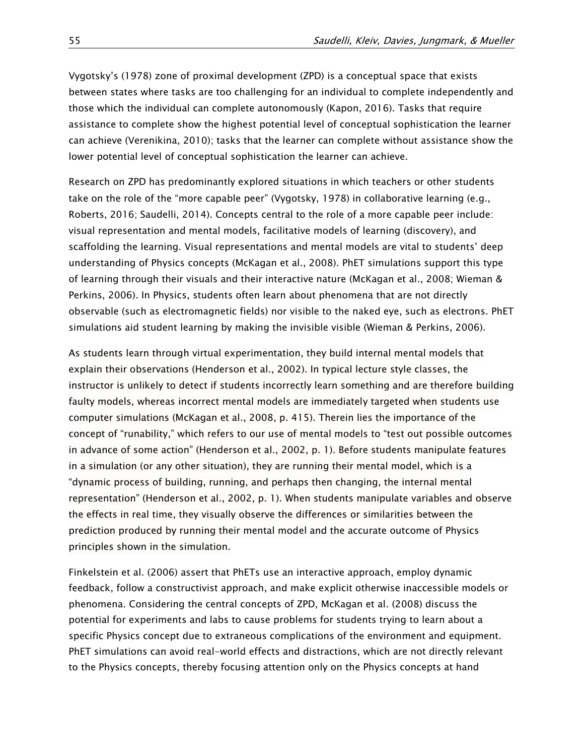Vygotsky's (1978) zone of proximal development (ZPD) is a conceptual space that exists between states where tasks are too challenging for an individual to complete independently and those which the individual can complete autonomously (Kapon, 2016). Tasks that require assistance to complete show the highest potential level of conceptual sophistication the learner can achieve (Verenikina, 2010); tasks that the learner can complete without assistance show the lower potential level of conceptual sophistication the learner can achieve.

Research on ZPD has predominantly explored situations in which teachers or other students take on the role of the "more capable peer" (Vygotsky, 1978) in collaborative learning (e.g., Roberts, 2016; Saudelli, 2014). Concepts central to the role of a more capable peer include: visual representation and mental models, facilitative models of learning (discovery), and scaffolding the learning. Visual representations and mental models are vital to students' deep understanding of Physics concepts (McKagan et al., 2008). PhET simulations support this type of learning through their visuals and their interactive nature (McKagan et al., 2008; Wieman & Perkins, 2006). In Physics, students often learn about phenomena that are not directly observable (such as electromagnetic fields) nor visible to the naked eye, such as electrons. PhET simulations aid student learning by making the invisible visible (Wieman & Perkins, 2006).

As students learn through virtual experimentation, they build internal mental models that explain their observations (Henderson et al., 2002). In typical lecture style classes, the instructor is unlikely to detect if students incorrectly learn something and are therefore building faulty models, whereas incorrect mental models are immediately targeted when students use computer simulations (McKagan et al., 2008, p. 415). Therein lies the importance of the concept of "runability," which refers to our use of mental models to "test out possible outcomes in advance of some action" (Henderson et al., 2002, p. 1). Before students manipulate features in a simulation (or any other situation), they are running their mental model, which is a "dynamic process of building, running, and perhaps then changing, the internal mental representation" (Henderson et al., 2002, p. 1). When students manipulate variables and observe the effects in real time, they visually observe the differences or similarities between the prediction produced by running their mental model and the accurate outcome of Physics principles shown in the simulation.

Finkelstein et al. (2006) assert that PhETs use an interactive approach, employ dynamic feedback, follow a constructivist approach, and make explicit otherwise inaccessible models or phenomena. Considering the central concepts of ZPD, McKagan et al. (2008) discuss the potential for experiments and labs to cause problems for students trying to learn about a specific Physics concept due to extraneous complications of the environment and equipment. PhET simulations can avoid real-world effects and distractions, which are not directly relevant to the Physics concepts, thereby focusing attention only on the Physics concepts at hand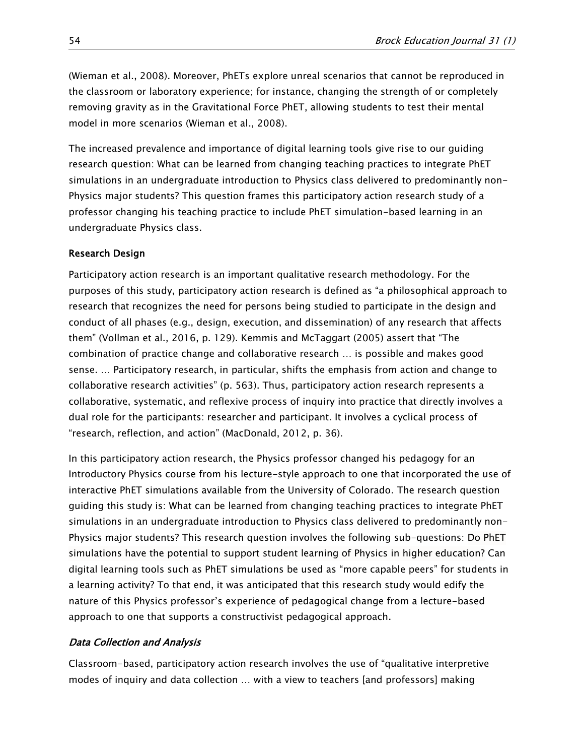(Wieman et al., 2008). Moreover, PhETs explore unreal scenarios that cannot be reproduced in the classroom or laboratory experience; for instance, changing the strength of or completely removing gravity as in the Gravitational Force PhET, allowing students to test their mental model in more scenarios (Wieman et al., 2008).

The increased prevalence and importance of digital learning tools give rise to our guiding research question: What can be learned from changing teaching practices to integrate PhET simulations in an undergraduate introduction to Physics class delivered to predominantly non-Physics major students? This question frames this participatory action research study of a professor changing his teaching practice to include PhET simulation-based learning in an undergraduate Physics class.

## Research Design

Participatory action research is an important qualitative research methodology. For the purposes of this study, participatory action research is defined as "a philosophical approach to research that recognizes the need for persons being studied to participate in the design and conduct of all phases (e.g., design, execution, and dissemination) of any research that affects them" (Vollman et al., 2016, p. 129). Kemmis and McTaggart (2005) assert that "The combination of practice change and collaborative research … is possible and makes good sense. … Participatory research, in particular, shifts the emphasis from action and change to collaborative research activities" (p. 563). Thus, participatory action research represents a collaborative, systematic, and reflexive process of inquiry into practice that directly involves a dual role for the participants: researcher and participant. It involves a cyclical process of "research, reflection, and action" (MacDonald, 2012, p. 36).

In this participatory action research, the Physics professor changed his pedagogy for an Introductory Physics course from his lecture-style approach to one that incorporated the use of interactive PhET simulations available from the University of Colorado. The research question guiding this study is: What can be learned from changing teaching practices to integrate PhET simulations in an undergraduate introduction to Physics class delivered to predominantly non-Physics major students? This research question involves the following sub-questions: Do PhET simulations have the potential to support student learning of Physics in higher education? Can digital learning tools such as PhET simulations be used as "more capable peers" for students in a learning activity? To that end, it was anticipated that this research study would edify the nature of this Physics professor's experience of pedagogical change from a lecture-based approach to one that supports a constructivist pedagogical approach.

## Data Collection and Analysis

Classroom-based, participatory action research involves the use of "qualitative interpretive modes of inquiry and data collection … with a view to teachers [and professors] making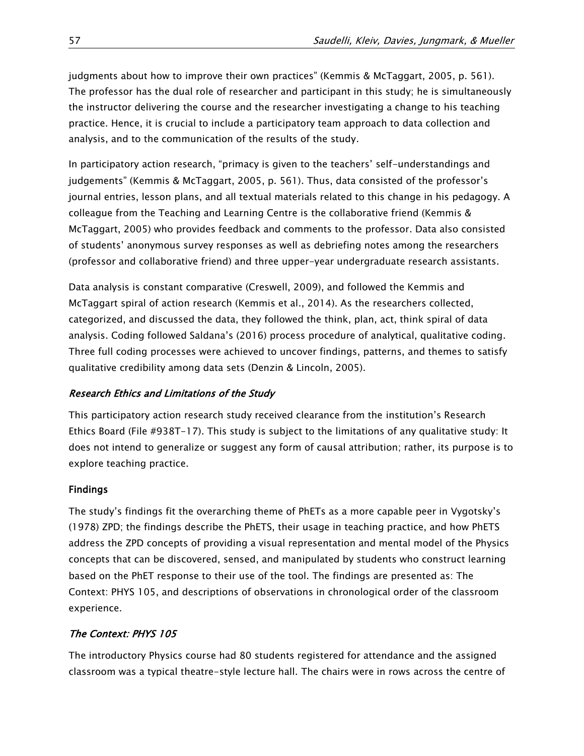judgments about how to improve their own practices" (Kemmis & McTaggart, 2005, p. 561). The professor has the dual role of researcher and participant in this study; he is simultaneously the instructor delivering the course and the researcher investigating a change to his teaching practice. Hence, it is crucial to include a participatory team approach to data collection and analysis, and to the communication of the results of the study.

In participatory action research, "primacy is given to the teachers' self-understandings and judgements" (Kemmis & McTaggart, 2005, p. 561). Thus, data consisted of the professor's journal entries, lesson plans, and all textual materials related to this change in his pedagogy. A colleague from the Teaching and Learning Centre is the collaborative friend (Kemmis & McTaggart, 2005) who provides feedback and comments to the professor. Data also consisted of students' anonymous survey responses as well as debriefing notes among the researchers (professor and collaborative friend) and three upper-year undergraduate research assistants.

Data analysis is constant comparative (Creswell, 2009), and followed the Kemmis and McTaggart spiral of action research (Kemmis et al., 2014). As the researchers collected, categorized, and discussed the data, they followed the think, plan, act, think spiral of data analysis. Coding followed Saldana's (2016) process procedure of analytical, qualitative coding. Three full coding processes were achieved to uncover findings, patterns, and themes to satisfy qualitative credibility among data sets (Denzin & Lincoln, 2005).

# Research Ethics and Limitations of the Study

This participatory action research study received clearance from the institution's Research Ethics Board (File #938T-17). This study is subject to the limitations of any qualitative study: It does not intend to generalize or suggest any form of causal attribution; rather, its purpose is to explore teaching practice.

# Findings

The study's findings fit the overarching theme of PhETs as a more capable peer in Vygotsky's (1978) ZPD; the findings describe the PhETS, their usage in teaching practice, and how PhETS address the ZPD concepts of providing a visual representation and mental model of the Physics concepts that can be discovered, sensed, and manipulated by students who construct learning based on the PhET response to their use of the tool. The findings are presented as: The Context: PHYS 105, and descriptions of observations in chronological order of the classroom experience.

# The Context: PHYS 105

The introductory Physics course had 80 students registered for attendance and the assigned classroom was a typical theatre-style lecture hall. The chairs were in rows across the centre of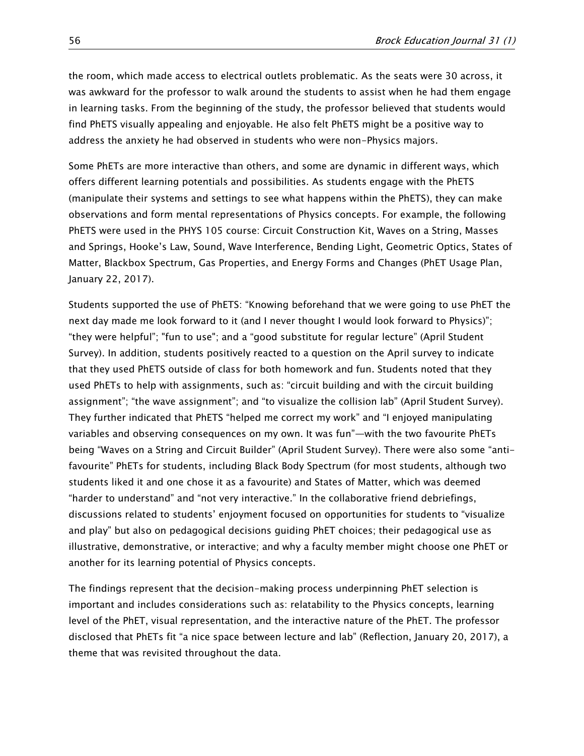the room, which made access to electrical outlets problematic. As the seats were 30 across, it was awkward for the professor to walk around the students to assist when he had them engage in learning tasks. From the beginning of the study, the professor believed that students would find PhETS visually appealing and enjoyable. He also felt PhETS might be a positive way to address the anxiety he had observed in students who were non-Physics majors.

Some PhETs are more interactive than others, and some are dynamic in different ways, which offers different learning potentials and possibilities. As students engage with the PhETS (manipulate their systems and settings to see what happens within the PhETS), they can make observations and form mental representations of Physics concepts. For example, the following PhETS were used in the PHYS 105 course: Circuit Construction Kit, Waves on a String, Masses and Springs, Hooke's Law, Sound, Wave Interference, Bending Light, Geometric Optics, States of Matter, Blackbox Spectrum, Gas Properties, and Energy Forms and Changes (PhET Usage Plan, January 22, 2017).

Students supported the use of PhETS: "Knowing beforehand that we were going to use PhET the next day made me look forward to it (and I never thought I would look forward to Physics)"; "they were helpful"; "fun to use"; and a "good substitute for regular lecture" (April Student Survey). In addition, students positively reacted to a question on the April survey to indicate that they used PhETS outside of class for both homework and fun. Students noted that they used PhETs to help with assignments, such as: "circuit building and with the circuit building assignment"; "the wave assignment"; and "to visualize the collision lab" (April Student Survey). They further indicated that PhETS "helped me correct my work" and "I enjoyed manipulating variables and observing consequences on my own. It was fun"—with the two favourite PhETs being "Waves on a String and Circuit Builder" (April Student Survey). There were also some "antifavourite" PhETs for students, including Black Body Spectrum (for most students, although two students liked it and one chose it as a favourite) and States of Matter, which was deemed "harder to understand" and "not very interactive." In the collaborative friend debriefings, discussions related to students' enjoyment focused on opportunities for students to "visualize and play" but also on pedagogical decisions guiding PhET choices; their pedagogical use as illustrative, demonstrative, or interactive; and why a faculty member might choose one PhET or another for its learning potential of Physics concepts.

The findings represent that the decision-making process underpinning PhET selection is important and includes considerations such as: relatability to the Physics concepts, learning level of the PhET, visual representation, and the interactive nature of the PhET. The professor disclosed that PhETs fit "a nice space between lecture and lab" (Reflection, January 20, 2017), a theme that was revisited throughout the data.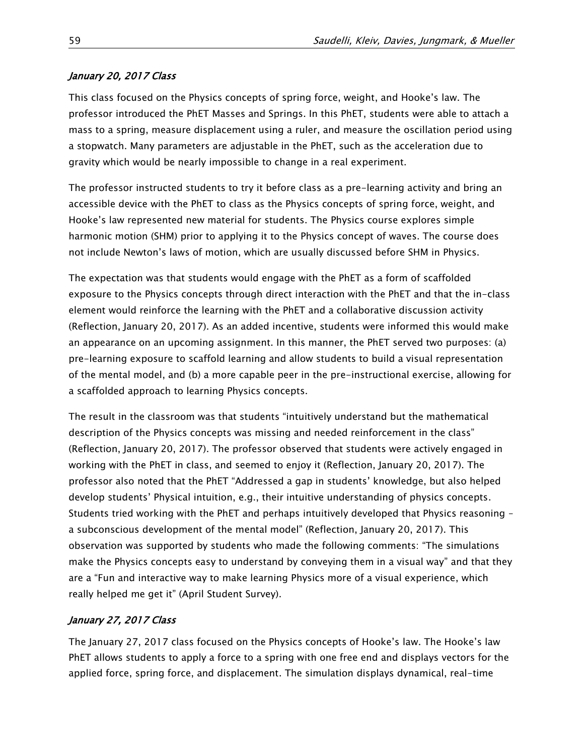## January 20, 2017 Class

This class focused on the Physics concepts of spring force, weight, and Hooke's law. The professor introduced the PhET Masses and Springs. In this PhET, students were able to attach a mass to a spring, measure displacement using a ruler, and measure the oscillation period using a stopwatch. Many parameters are adjustable in the PhET, such as the acceleration due to gravity which would be nearly impossible to change in a real experiment.

The professor instructed students to try it before class as a pre-learning activity and bring an accessible device with the PhET to class as the Physics concepts of spring force, weight, and Hooke's law represented new material for students. The Physics course explores simple harmonic motion (SHM) prior to applying it to the Physics concept of waves. The course does not include Newton's laws of motion, which are usually discussed before SHM in Physics.

The expectation was that students would engage with the PhET as a form of scaffolded exposure to the Physics concepts through direct interaction with the PhET and that the in-class element would reinforce the learning with the PhET and a collaborative discussion activity (Reflection, January 20, 2017). As an added incentive, students were informed this would make an appearance on an upcoming assignment. In this manner, the PhET served two purposes: (a) pre-learning exposure to scaffold learning and allow students to build a visual representation of the mental model, and (b) a more capable peer in the pre-instructional exercise, allowing for a scaffolded approach to learning Physics concepts.

The result in the classroom was that students "intuitively understand but the mathematical description of the Physics concepts was missing and needed reinforcement in the class" (Reflection, January 20, 2017). The professor observed that students were actively engaged in working with the PhET in class, and seemed to enjoy it (Reflection, January 20, 2017). The professor also noted that the PhET "Addressed a gap in students' knowledge, but also helped develop students' Physical intuition, e.g., their intuitive understanding of physics concepts. Students tried working with the PhET and perhaps intuitively developed that Physics reasoning – a subconscious development of the mental model" (Reflection, January 20, 2017). This observation was supported by students who made the following comments: "The simulations make the Physics concepts easy to understand by conveying them in a visual way" and that they are a "Fun and interactive way to make learning Physics more of a visual experience, which really helped me get it" (April Student Survey).

# January 27, 2017 Class

The January 27, 2017 class focused on the Physics concepts of Hooke's law. The Hooke's law PhET allows students to apply a force to a spring with one free end and displays vectors for the applied force, spring force, and displacement. The simulation displays dynamical, real-time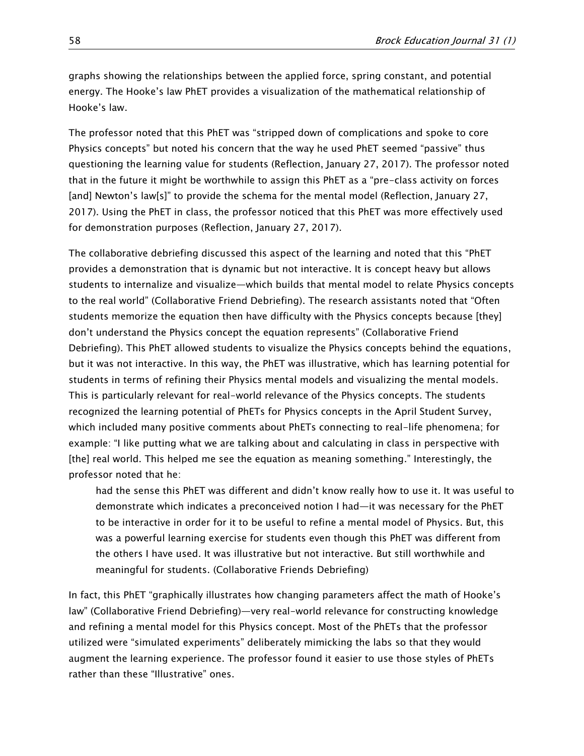graphs showing the relationships between the applied force, spring constant, and potential energy. The Hooke's law PhET provides a visualization of the mathematical relationship of Hooke's law.

The professor noted that this PhET was "stripped down of complications and spoke to core Physics concepts" but noted his concern that the way he used PhET seemed "passive" thus questioning the learning value for students (Reflection, January 27, 2017). The professor noted that in the future it might be worthwhile to assign this PhET as a "pre-class activity on forces [and] Newton's law[s]" to provide the schema for the mental model (Reflection, January 27, 2017). Using the PhET in class, the professor noticed that this PhET was more effectively used for demonstration purposes (Reflection, January 27, 2017).

The collaborative debriefing discussed this aspect of the learning and noted that this "PhET provides a demonstration that is dynamic but not interactive. It is concept heavy but allows students to internalize and visualize—which builds that mental model to relate Physics concepts to the real world" (Collaborative Friend Debriefing). The research assistants noted that "Often students memorize the equation then have difficulty with the Physics concepts because [they] don't understand the Physics concept the equation represents" (Collaborative Friend Debriefing). This PhET allowed students to visualize the Physics concepts behind the equations, but it was not interactive. In this way, the PhET was illustrative, which has learning potential for students in terms of refining their Physics mental models and visualizing the mental models. This is particularly relevant for real-world relevance of the Physics concepts. The students recognized the learning potential of PhETs for Physics concepts in the April Student Survey, which included many positive comments about PhETs connecting to real-life phenomena; for example: "I like putting what we are talking about and calculating in class in perspective with [the] real world. This helped me see the equation as meaning something." Interestingly, the professor noted that he:

had the sense this PhET was different and didn't know really how to use it. It was useful to demonstrate which indicates a preconceived notion I had—it was necessary for the PhET to be interactive in order for it to be useful to refine a mental model of Physics. But, this was a powerful learning exercise for students even though this PhET was different from the others I have used. It was illustrative but not interactive. But still worthwhile and meaningful for students. (Collaborative Friends Debriefing)

In fact, this PhET "graphically illustrates how changing parameters affect the math of Hooke's law" (Collaborative Friend Debriefing)—very real-world relevance for constructing knowledge and refining a mental model for this Physics concept. Most of the PhETs that the professor utilized were "simulated experiments" deliberately mimicking the labs so that they would augment the learning experience. The professor found it easier to use those styles of PhETs rather than these "Illustrative" ones.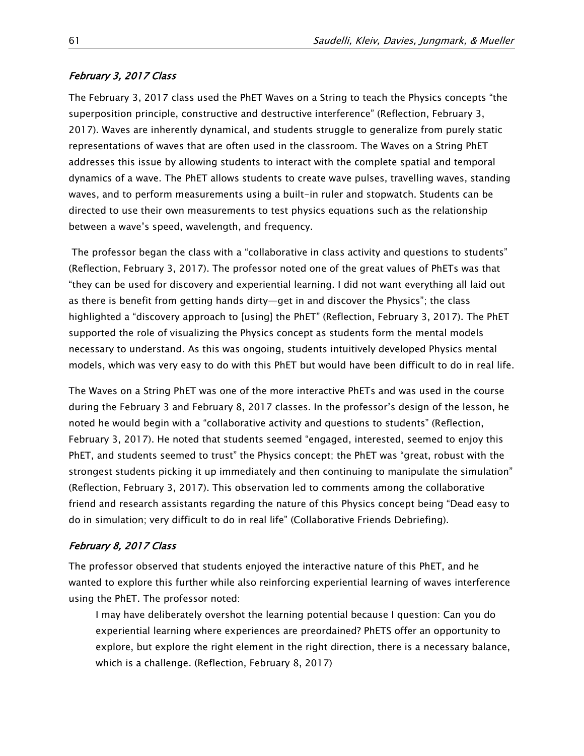#### February 3, 2017 Class

The February 3, 2017 class used the PhET Waves on a String to teach the Physics concepts "the superposition principle, constructive and destructive interference" (Reflection, February 3, 2017). Waves are inherently dynamical, and students struggle to generalize from purely static representations of waves that are often used in the classroom. The Waves on a String PhET addresses this issue by allowing students to interact with the complete spatial and temporal dynamics of a wave. The PhET allows students to create wave pulses, travelling waves, standing waves, and to perform measurements using a built-in ruler and stopwatch. Students can be directed to use their own measurements to test physics equations such as the relationship between a wave's speed, wavelength, and frequency.

The professor began the class with a "collaborative in class activity and questions to students" (Reflection, February 3, 2017). The professor noted one of the great values of PhETs was that "they can be used for discovery and experiential learning. I did not want everything all laid out as there is benefit from getting hands dirty—get in and discover the Physics"; the class highlighted a "discovery approach to [using] the PhET" (Reflection, February 3, 2017). The PhET supported the role of visualizing the Physics concept as students form the mental models necessary to understand. As this was ongoing, students intuitively developed Physics mental models, which was very easy to do with this PhET but would have been difficult to do in real life.

The Waves on a String PhET was one of the more interactive PhETs and was used in the course during the February 3 and February 8, 2017 classes. In the professor's design of the lesson, he noted he would begin with a "collaborative activity and questions to students" (Reflection, February 3, 2017). He noted that students seemed "engaged, interested, seemed to enjoy this PhET, and students seemed to trust" the Physics concept; the PhET was "great, robust with the strongest students picking it up immediately and then continuing to manipulate the simulation" (Reflection, February 3, 2017). This observation led to comments among the collaborative friend and research assistants regarding the nature of this Physics concept being "Dead easy to do in simulation; very difficult to do in real life" (Collaborative Friends Debriefing).

#### February 8, 2017 Class

The professor observed that students enjoyed the interactive nature of this PhET, and he wanted to explore this further while also reinforcing experiential learning of waves interference using the PhET. The professor noted:

I may have deliberately overshot the learning potential because I question: Can you do experiential learning where experiences are preordained? PhETS offer an opportunity to explore, but explore the right element in the right direction, there is a necessary balance, which is a challenge. (Reflection, February 8, 2017)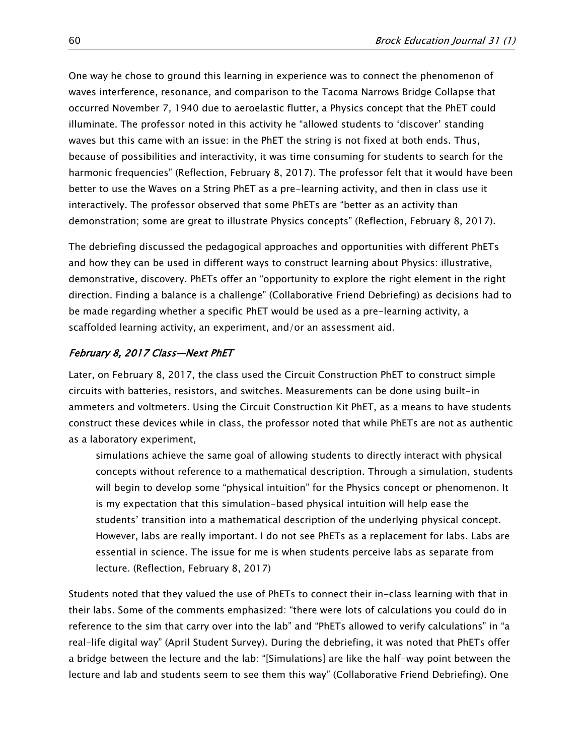One way he chose to ground this learning in experience was to connect the phenomenon of waves interference, resonance, and comparison to the Tacoma Narrows Bridge Collapse that occurred November 7, 1940 due to [aeroelastic flutter,](https://en.wikipedia.org/wiki/Aeroelastic_flutter) a Physics concept that the PhET could illuminate. The professor noted in this activity he "allowed students to 'discover' standing waves but this came with an issue: in the PhET the string is not fixed at both ends. Thus, because of possibilities and interactivity, it was time consuming for students to search for the harmonic frequencies" (Reflection, February 8, 2017). The professor felt that it would have been better to use the Waves on a String PhET as a pre-learning activity, and then in class use it interactively. The professor observed that some PhETs are "better as an activity than demonstration; some are great to illustrate Physics concepts" (Reflection, February 8, 2017).

The debriefing discussed the pedagogical approaches and opportunities with different PhETs and how they can be used in different ways to construct learning about Physics: illustrative, demonstrative, discovery. PhETs offer an "opportunity to explore the right element in the right direction. Finding a balance is a challenge" (Collaborative Friend Debriefing) as decisions had to be made regarding whether a specific PhET would be used as a pre-learning activity, a scaffolded learning activity, an experiment, and/or an assessment aid.

#### February 8, 2017 Class—Next PhET

Later, on February 8, 2017, the class used the Circuit Construction PhET to construct simple circuits with batteries, resistors, and switches. Measurements can be done using built-in ammeters and voltmeters. Using the Circuit Construction Kit PhET, as a means to have students construct these devices while in class, the professor noted that while PhETs are not as authentic as a laboratory experiment,

simulations achieve the same goal of allowing students to directly interact with physical concepts without reference to a mathematical description. Through a simulation, students will begin to develop some "physical intuition" for the Physics concept or phenomenon. It is my expectation that this simulation-based physical intuition will help ease the students' transition into a mathematical description of the underlying physical concept. However, labs are really important. I do not see PhETs as a replacement for labs. Labs are essential in science. The issue for me is when students perceive labs as separate from lecture. (Reflection, February 8, 2017)

Students noted that they valued the use of PhETs to connect their in-class learning with that in their labs. Some of the comments emphasized: "there were lots of calculations you could do in reference to the sim that carry over into the lab" and "PhETs allowed to verify calculations" in "a real-life digital way" (April Student Survey). During the debriefing, it was noted that PhETs offer a bridge between the lecture and the lab: "[Simulations] are like the half-way point between the lecture and lab and students seem to see them this way" (Collaborative Friend Debriefing). One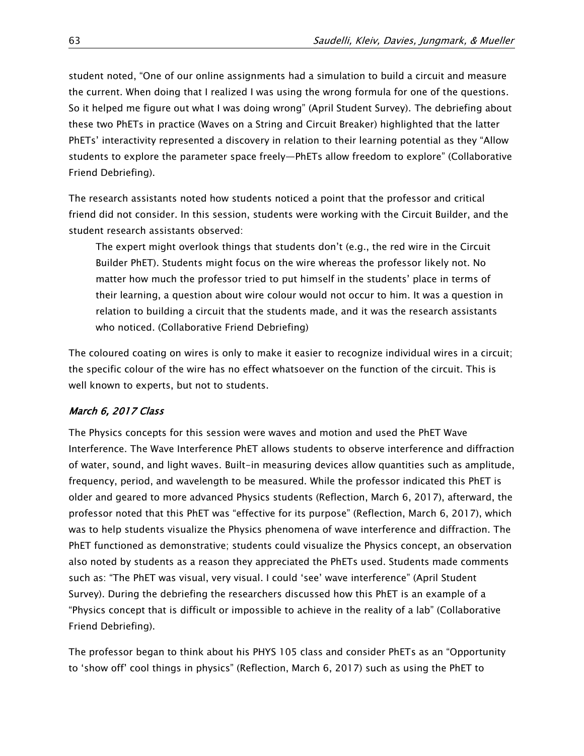student noted, "One of our online assignments had a simulation to build a circuit and measure the current. When doing that I realized I was using the wrong formula for one of the questions. So it helped me figure out what I was doing wrong" (April Student Survey). The debriefing about these two PhETs in practice (Waves on a String and Circuit Breaker) highlighted that the latter PhETs' interactivity represented a discovery in relation to their learning potential as they "Allow students to explore the parameter space freely—PhETs allow freedom to explore" (Collaborative Friend Debriefing).

The research assistants noted how students noticed a point that the professor and critical friend did not consider. In this session, students were working with the Circuit Builder, and the student research assistants observed:

The expert might overlook things that students don't (e.g., the red wire in the Circuit Builder PhET). Students might focus on the wire whereas the professor likely not. No matter how much the professor tried to put himself in the students' place in terms of their learning, a question about wire colour would not occur to him. It was a question in relation to building a circuit that the students made, and it was the research assistants who noticed. (Collaborative Friend Debriefing)

The coloured coating on wires is only to make it easier to recognize individual wires in a circuit; the specific colour of the wire has no effect whatsoever on the function of the circuit. This is well known to experts, but not to students.

## March 6, 2017 Class

The Physics concepts for this session were waves and motion and used the PhET Wave Interference. The Wave Interference PhET allows students to observe interference and diffraction of water, sound, and light waves. Built-in measuring devices allow quantities such as amplitude, frequency, period, and wavelength to be measured. While the professor indicated this PhET is older and geared to more advanced Physics students (Reflection, March 6, 2017), afterward, the professor noted that this PhET was "effective for its purpose" (Reflection, March 6, 2017), which was to help students visualize the Physics phenomena of wave interference and diffraction. The PhET functioned as demonstrative; students could visualize the Physics concept, an observation also noted by students as a reason they appreciated the PhETs used. Students made comments such as: "The PhET was visual, very visual. I could 'see' wave interference" (April Student Survey). During the debriefing the researchers discussed how this PhET is an example of a "Physics concept that is difficult or impossible to achieve in the reality of a lab" (Collaborative Friend Debriefing).

The professor began to think about his PHYS 105 class and consider PhETs as an "Opportunity to 'show off' cool things in physics" (Reflection, March 6, 2017) such as using the PhET to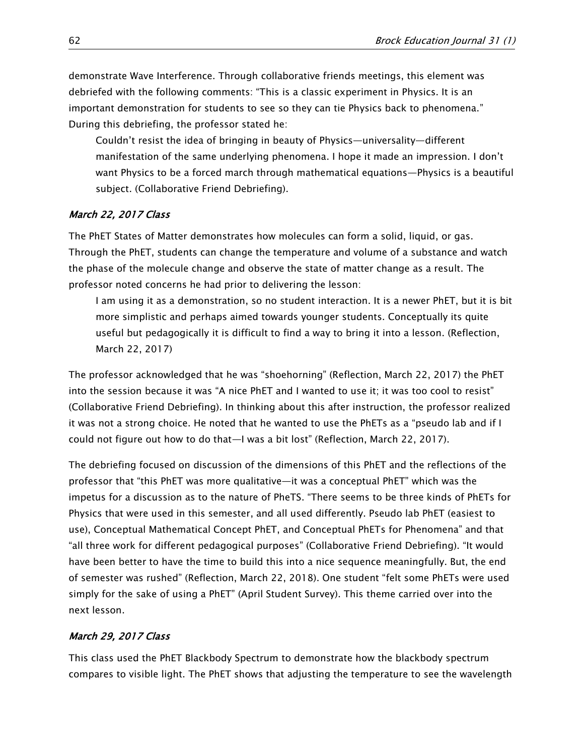demonstrate Wave Interference. Through collaborative friends meetings, this element was debriefed with the following comments: "This is a classic experiment in Physics. It is an important demonstration for students to see so they can tie Physics back to phenomena." During this debriefing, the professor stated he:

Couldn't resist the idea of bringing in beauty of Physics—universality—different manifestation of the same underlying phenomena. I hope it made an impression. I don't want Physics to be a forced march through mathematical equations—Physics is a beautiful subject. (Collaborative Friend Debriefing).

## March 22, 2017 Class

The PhET States of Matter demonstrates how molecules can form a solid, liquid, or gas. Through the PhET, students can change the temperature and volume of a substance and watch the phase of the molecule change and observe the state of matter change as a result. The professor noted concerns he had prior to delivering the lesson:

I am using it as a demonstration, so no student interaction. It is a newer PhET, but it is bit more simplistic and perhaps aimed towards younger students. Conceptually its quite useful but pedagogically it is difficult to find a way to bring it into a lesson. (Reflection, March 22, 2017)

The professor acknowledged that he was "shoehorning" (Reflection, March 22, 2017) the PhET into the session because it was "A nice PhET and I wanted to use it; it was too cool to resist" (Collaborative Friend Debriefing). In thinking about this after instruction, the professor realized it was not a strong choice. He noted that he wanted to use the PhETs as a "pseudo lab and if I could not figure out how to do that—I was a bit lost" (Reflection, March 22, 2017).

The debriefing focused on discussion of the dimensions of this PhET and the reflections of the professor that "this PhET was more qualitative—it was a conceptual PhET" which was the impetus for a discussion as to the nature of PheTS. "There seems to be three kinds of PhETs for Physics that were used in this semester, and all used differently. Pseudo lab PhET (easiest to use), Conceptual Mathematical Concept PhET, and Conceptual PhETs for Phenomena" and that "all three work for different pedagogical purposes" (Collaborative Friend Debriefing). "It would have been better to have the time to build this into a nice sequence meaningfully. But, the end of semester was rushed" (Reflection, March 22, 2018). One student "felt some PhETs were used simply for the sake of using a PhET" (April Student Survey). This theme carried over into the next lesson.

## March 29, 2017 Class

This class used the PhET Blackbody Spectrum to demonstrate how the blackbody spectrum compares to visible light. The PhET shows that adjusting the temperature to see the wavelength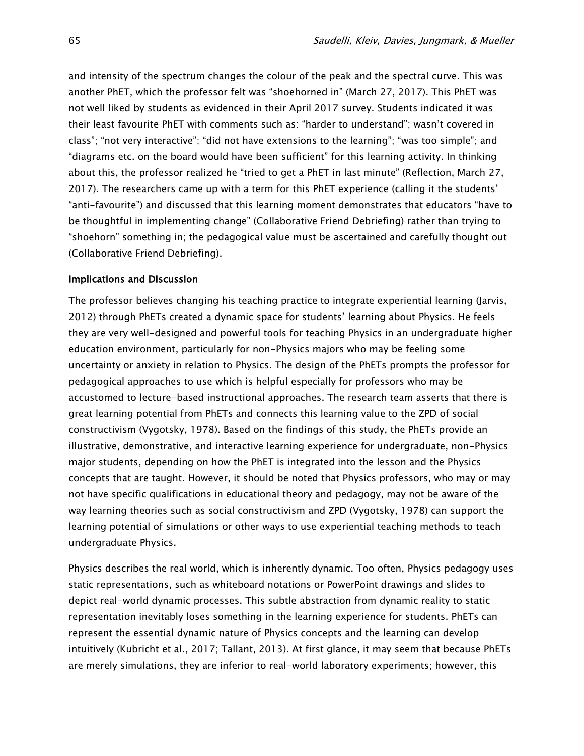and intensity of the spectrum changes the colour of the peak and the spectral curve. This was another PhET, which the professor felt was "shoehorned in" (March 27, 2017). This PhET was not well liked by students as evidenced in their April 2017 survey. Students indicated it was their least favourite PhET with comments such as: "harder to understand"; wasn't covered in class"; "not very interactive"; "did not have extensions to the learning"; "was too simple"; and "diagrams etc. on the board would have been sufficient" for this learning activity. In thinking about this, the professor realized he "tried to get a PhET in last minute" (Reflection, March 27, 2017). The researchers came up with a term for this PhET experience (calling it the students' "anti-favourite") and discussed that this learning moment demonstrates that educators "have to be thoughtful in implementing change" (Collaborative Friend Debriefing) rather than trying to "shoehorn" something in; the pedagogical value must be ascertained and carefully thought out (Collaborative Friend Debriefing).

#### Implications and Discussion

The professor believes changing his teaching practice to integrate experiential learning (Jarvis, 2012) through PhETs created a dynamic space for students' learning about Physics. He feels they are very well-designed and powerful tools for teaching Physics in an undergraduate higher education environment, particularly for non-Physics majors who may be feeling some uncertainty or anxiety in relation to Physics. The design of the PhETs prompts the professor for pedagogical approaches to use which is helpful especially for professors who may be accustomed to lecture-based instructional approaches. The research team asserts that there is great learning potential from PhETs and connects this learning value to the ZPD of social constructivism (Vygotsky, 1978). Based on the findings of this study, the PhETs provide an illustrative, demonstrative, and interactive learning experience for undergraduate, non-Physics major students, depending on how the PhET is integrated into the lesson and the Physics concepts that are taught. However, it should be noted that Physics professors, who may or may not have specific qualifications in educational theory and pedagogy, may not be aware of the way learning theories such as social constructivism and ZPD (Vygotsky, 1978) can support the learning potential of simulations or other ways to use experiential teaching methods to teach undergraduate Physics.

Physics describes the real world, which is inherently dynamic. Too often, Physics pedagogy uses static representations, such as whiteboard notations or PowerPoint drawings and slides to depict real-world dynamic processes. This subtle abstraction from dynamic reality to static representation inevitably loses something in the learning experience for students. PhETs can represent the essential dynamic nature of Physics concepts and the learning can develop intuitively (Kubricht et al., 2017; Tallant, 2013). At first glance, it may seem that because PhETs are merely simulations, they are inferior to real-world laboratory experiments; however, this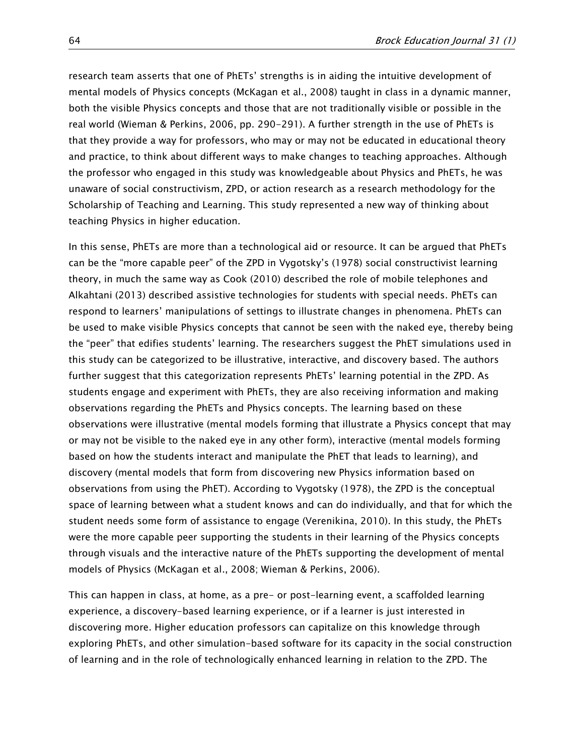research team asserts that one of PhETs' strengths is in aiding the intuitive development of mental models of Physics concepts (McKagan et al., 2008) taught in class in a dynamic manner, both the visible Physics concepts and those that are not traditionally visible or possible in the real world (Wieman & Perkins, 2006, pp. 290-291). A further strength in the use of PhETs is that they provide a way for professors, who may or may not be educated in educational theory and practice, to think about different ways to make changes to teaching approaches. Although the professor who engaged in this study was knowledgeable about Physics and PhETs, he was unaware of social constructivism, ZPD, or action research as a research methodology for the Scholarship of Teaching and Learning. This study represented a new way of thinking about teaching Physics in higher education.

In this sense, PhETs are more than a technological aid or resource. It can be argued that PhETs can be the "more capable peer" of the ZPD in Vygotsky's (1978) social constructivist learning theory, in much the same way as Cook (2010) described the role of mobile telephones and Alkahtani (2013) described assistive technologies for students with special needs. PhETs can respond to learners' manipulations of settings to illustrate changes in phenomena. PhETs can be used to make visible Physics concepts that cannot be seen with the naked eye, thereby being the "peer" that edifies students' learning. The researchers suggest the PhET simulations used in this study can be categorized to be illustrative, interactive, and discovery based. The authors further suggest that this categorization represents PhETs' learning potential in the ZPD. As students engage and experiment with PhETs, they are also receiving information and making observations regarding the PhETs and Physics concepts. The learning based on these observations were illustrative (mental models forming that illustrate a Physics concept that may or may not be visible to the naked eye in any other form), interactive (mental models forming based on how the students interact and manipulate the PhET that leads to learning), and discovery (mental models that form from discovering new Physics information based on observations from using the PhET). According to Vygotsky (1978), the ZPD is the conceptual space of learning between what a student knows and can do individually, and that for which the student needs some form of assistance to engage (Verenikina, 2010). In this study, the PhETs were the more capable peer supporting the students in their learning of the Physics concepts through visuals and the interactive nature of the PhETs supporting the development of mental models of Physics (McKagan et al., 2008; Wieman & Perkins, 2006).

This can happen in class, at home, as a pre- or post-learning event, a scaffolded learning experience, a discovery-based learning experience, or if a learner is just interested in discovering more. Higher education professors can capitalize on this knowledge through exploring PhETs, and other simulation-based software for its capacity in the social construction of learning and in the role of technologically enhanced learning in relation to the ZPD. The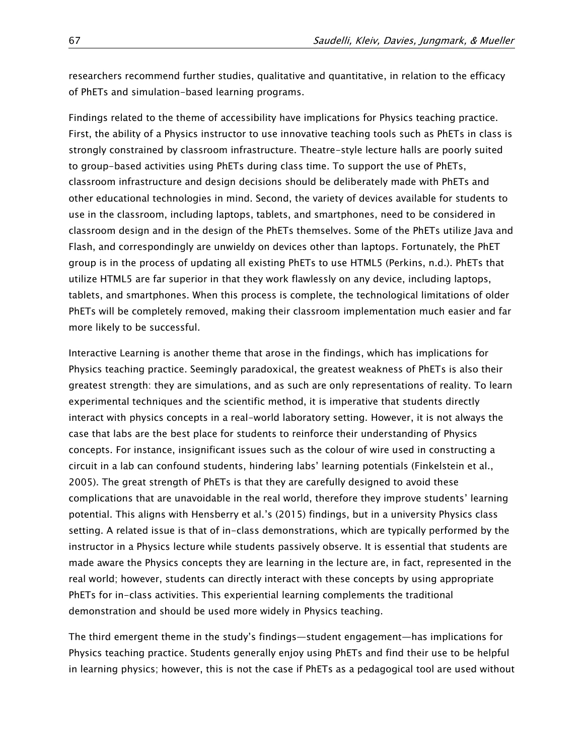researchers recommend further studies, qualitative and quantitative, in relation to the efficacy of PhETs and simulation-based learning programs.

Findings related to the theme of accessibility have implications for Physics teaching practice. First, the ability of a Physics instructor to use innovative teaching tools such as PhETs in class is strongly constrained by classroom infrastructure. Theatre-style lecture halls are poorly suited to group-based activities using PhETs during class time. To support the use of PhETs, classroom infrastructure and design decisions should be deliberately made with PhETs and other educational technologies in mind. Second, the variety of devices available for students to use in the classroom, including laptops, tablets, and smartphones, need to be considered in classroom design and in the design of the PhETs themselves. Some of the PhETs utilize Java and Flash, and correspondingly are unwieldy on devices other than laptops. Fortunately, the PhET group is in the process of updating all existing PhETs to use HTML5 (Perkins, n.d.). PhETs that utilize HTML5 are far superior in that they work flawlessly on any device, including laptops, tablets, and smartphones. When this process is complete, the technological limitations of older PhETs will be completely removed, making their classroom implementation much easier and far more likely to be successful.

Interactive Learning is another theme that arose in the findings, which has implications for Physics teaching practice. Seemingly paradoxical, the greatest weakness of PhETs is also their greatest strength: they are simulations, and as such are only representations of reality. To learn experimental techniques and the scientific method, it is imperative that students directly interact with physics concepts in a real-world laboratory setting. However, it is not always the case that labs are the best place for students to reinforce their understanding of Physics concepts. For instance, insignificant issues such as the colour of wire used in constructing a circuit in a lab can confound students, hindering labs' learning potentials (Finkelstein et al., 2005). The great strength of PhETs is that they are carefully designed to avoid these complications that are unavoidable in the real world, therefore they improve students' learning potential. This aligns with Hensberry et al.'s (2015) findings, but in a university Physics class setting. A related issue is that of in-class demonstrations, which are typically performed by the instructor in a Physics lecture while students passively observe. It is essential that students are made aware the Physics concepts they are learning in the lecture are, in fact, represented in the real world; however, students can directly interact with these concepts by using appropriate PhETs for in-class activities. This experiential learning complements the traditional demonstration and should be used more widely in Physics teaching.

The third emergent theme in the study's findings—student engagement—has implications for Physics teaching practice. Students generally enjoy using PhETs and find their use to be helpful in learning physics; however, this is not the case if PhETs as a pedagogical tool are used without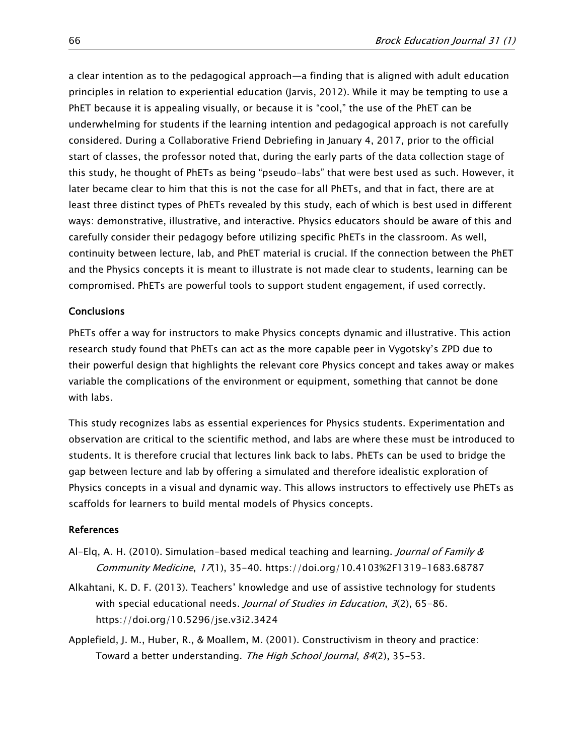a clear intention as to the pedagogical approach—a finding that is aligned with adult education principles in relation to experiential education (Jarvis, 2012). While it may be tempting to use a PhET because it is appealing visually, or because it is "cool," the use of the PhET can be underwhelming for students if the learning intention and pedagogical approach is not carefully considered. During a Collaborative Friend Debriefing in January 4, 2017, prior to the official start of classes, the professor noted that, during the early parts of the data collection stage of this study, he thought of PhETs as being "pseudo-labs" that were best used as such. However, it later became clear to him that this is not the case for all PhETs, and that in fact, there are at least three distinct types of PhETs revealed by this study, each of which is best used in different ways: demonstrative, illustrative, and interactive. Physics educators should be aware of this and carefully consider their pedagogy before utilizing specific PhETs in the classroom. As well, continuity between lecture, lab, and PhET material is crucial. If the connection between the PhET and the Physics concepts it is meant to illustrate is not made clear to students, learning can be compromised. PhETs are powerful tools to support student engagement, if used correctly.

## **Conclusions**

PhETs offer a way for instructors to make Physics concepts dynamic and illustrative. This action research study found that PhETs can act as the more capable peer in Vygotsky's ZPD due to their powerful design that highlights the relevant core Physics concept and takes away or makes variable the complications of the environment or equipment, something that cannot be done with labs.

This study recognizes labs as essential experiences for Physics students. Experimentation and observation are critical to the scientific method, and labs are where these must be introduced to students. It is therefore crucial that lectures link back to labs. PhETs can be used to bridge the gap between lecture and lab by offering a simulated and therefore idealistic exploration of Physics concepts in a visual and dynamic way. This allows instructors to effectively use PhETs as scaffolds for learners to build mental models of Physics concepts.

#### References

- Al-Elq, A. H. (2010). Simulation-based medical teaching and learning. Journal of Family & Community Medicine, 17(1), 35-40. [https://doi.org/10.4103%2F1319-1683.68787](https://dx.doi.org/10.4103%2F1319-1683.68787)
- Alkahtani, K. D. F. (2013). Teachers' knowledge and use of assistive technology for students with special educational needs. Journal of Studies in Education, 3(2), 65-86. <https://doi.org/10.5296/jse.v3i2.3424>

Applefield, J. M., Huber, R., & Moallem, M. (2001). Constructivism in theory and practice: Toward a better understanding. The High School Journal, 84(2), 35-53.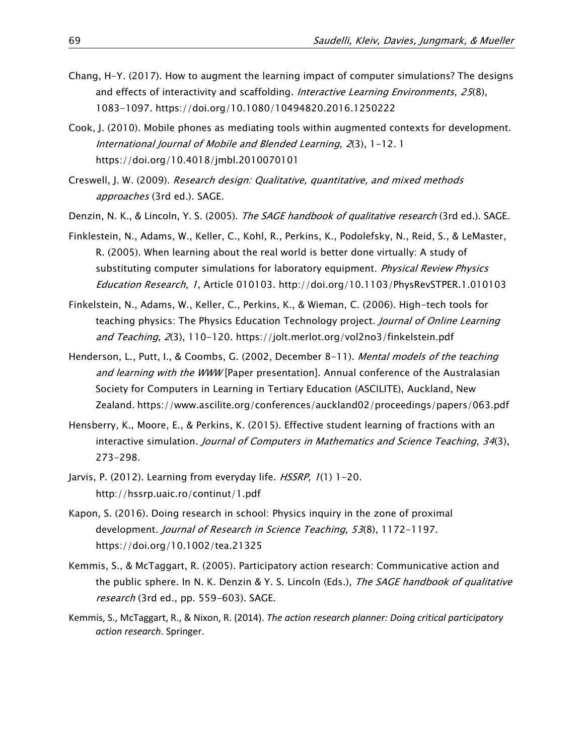- Chang, H-Y. (2017). How to augment the learning impact of computer simulations? The designs and effects of interactivity and scaffolding. Interactive Learning Environments, 25(8), 1083-1097.<https://doi.org/10.1080/10494820.2016.1250222>
- Cook, J. (2010). Mobile phones as mediating tools within augmented contexts for development. International Journal of Mobile and Blended Learning, 2(3), 1-12. 1 <https://doi.org/10.4018/jmbl.2010070101>
- Creswell, J. W. (2009). Research design: Qualitative, quantitative, and mixed methods approaches (3rd ed.). SAGE.
- Denzin, N. K., & Lincoln, Y. S. (2005). The SAGE handbook of qualitative research (3rd ed.). SAGE.
- Finklestein, N., Adams, W., Keller, C., Kohl, R., Perkins, K., Podolefsky, N., Reid, S., & LeMaster, R. (2005). When learning about the real world is better done virtually: A study of substituting computer simulations for laboratory equipment. *Physical Review Physics* Education Research, 1, Article 010103. [http://doi.org/10.1103/PhysRevSTPER.1.010103](http://dx.doi.org/10.1103/PhysRevSTPER.1.010103)
- Finkelstein, N., Adams, W., Keller, C., Perkins, K., & Wieman, C. (2006). High-tech tools for teaching physics: The Physics Education Technology project. Journal of Online Learning and Teaching, 2(3), 110-120.<https://jolt.merlot.org/vol2no3/finkelstein.pdf>
- Henderson, L., Putt, I., & Coombs, G. (2002, December 8-11). Mental models of the teaching and learning with the WWW [Paper presentation]. Annual conference of the Australasian Society for Computers in Learning in Tertiary Education (ASCILITE), Auckland, New Zealand. <https://www.ascilite.org/conferences/auckland02/proceedings/papers/063.pdf>
- Hensberry, K., Moore, E., & Perkins, K. (2015). Effective student learning of fractions with an interactive simulation. Journal of Computers in Mathematics and Science Teaching, 34(3), 273-298.
- Jarvis, P. (2012). Learning from everyday life. HSSRP, 1(1) 1-20. <http://hssrp.uaic.ro/continut/1.pdf>
- Kapon, S. (2016). Doing research in school: Physics inquiry in the zone of proximal development. Journal of Research in Science Teaching, 53(8), 1172-1197. <https://doi.org/10.1002/tea.21325>
- Kemmis, S., & McTaggart, R. (2005). Participatory action research: Communicative action and the public sphere. In N. K. Denzin & Y. S. Lincoln (Eds.), The SAGE handbook of qualitative research (3rd ed., pp. 559-603). SAGE.
- Kemmis, S., McTaggart, R., & Nixon, R. (2014). *The action research planner: Doing critical participatory action research*. Springer.